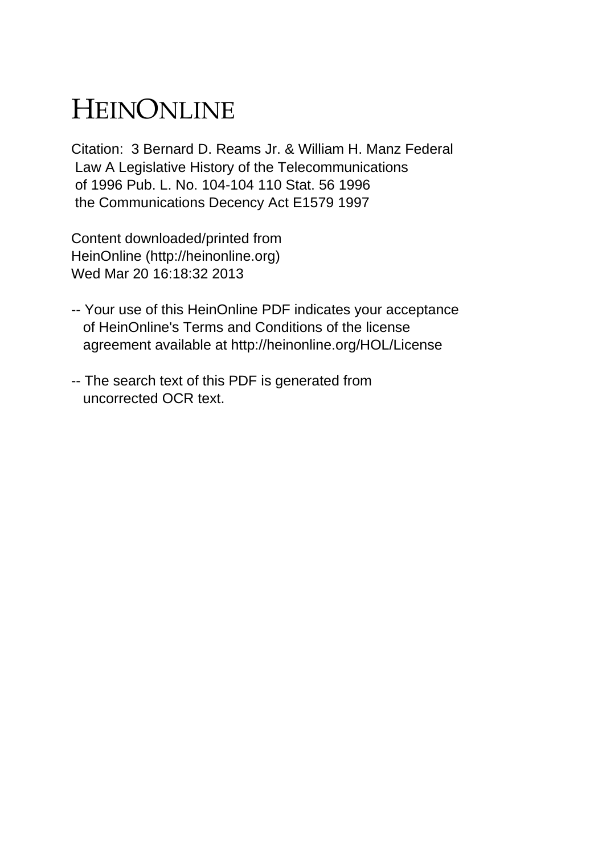# HEINONLINE

Citation: 3 Bernard D. Reams Jr. & William H. Manz Federal Law A Legislative History of the Telecommunications of 1996 Pub. L. No. 104-104 110 Stat. 56 1996 the Communications Decency Act E1579 1997

Content downloaded/printed from HeinOnline (http://heinonline.org) Wed Mar 20 16:18:32 2013

- -- Your use of this HeinOnline PDF indicates your acceptance of HeinOnline's Terms and Conditions of the license agreement available at http://heinonline.org/HOL/License
- -- The search text of this PDF is generated from uncorrected OCR text.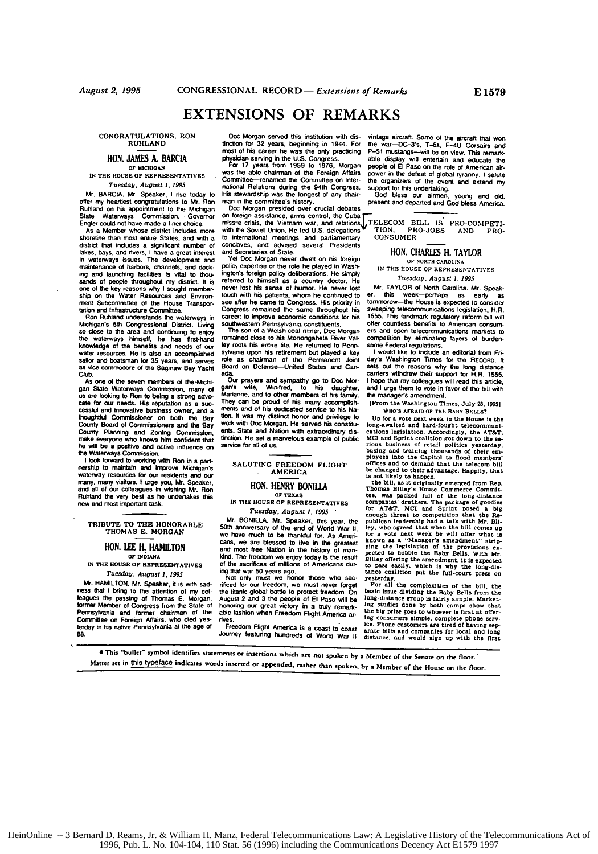# **EXTENSIONS** OF REMARKS

**CONGRATULATIONS.** RON **RUHLAND**

# **HON. JAMES A.** BARCIA OF **MICHIGAN**

**IN** THE **HOUSE OF REPRESENTATIVES** *Tuesday, August 1, 1995*<br>Mr. BARCIA. Mr. Speaker, I rise today to

**Mr.** BARCIA. Mr. Speaker. **I** rise today to **offer** my heartiest congratulations to Mr. Ron Ruhiland on his appointment to the Michigan State Waterways Commission. Governor

Engler could not have **made** a finer choice. AS a **Member** whose district includes **more** shoreline than most entire States, and with a district that includes a significant number **of** takes, bays, and rivers. **I** have a great interest **in** waterways issues. The development and maintenance of harbors, channels, and dock-<br>ing and launching facilities is vital to thouing and launching facilities is vital to thou- sands **of** people throughout my distnct. It is one **of** the key reasons why **I** sought member- ship on the Water Resources and Environ ment Subcommittee **of** the House Transpor-

Ron Ruhland understands the waterways in Michigan's 5th Congressional District. Living so close to the area and continuing to enjoy **the** waterways **himself,** he has first-hand knowledge **of** the benefits and needs **of** our water resources. He is also an accomplished sailor and boatsman **for 35** years. and serves as vice commodore **of** the Saginaw Bay Yacht **Club.**

As one of the seven members of the-Michigan State Waterways Commission, many of us are looking to Ron to being a strong advocate for our needs. His reputation as a successful and innovative business owner, and a thoughtful Commissioner on both the Bay County Board of Commissioners and the Bay County Planning and Zoning Comnrssion, make everyone who knows him confident that ho **wBl** be **a** positive and active influence on the Waterways **Commission. <sup>I</sup>**look torward to working with Ron **in** a **parl- nershlp** to maintain and **Improve** Michigan's

waterway resources for our residents and our<br>many, many visitors. **I** urge you, Mr. Speaker,<br>and all of our colleagues in wishing Mr. Ron<br>Ruhland the very best as he undertakes this new and mast important task.

TRIBUTE TO THE HONORABLE **THOMAS E.** MORGAN

# **HON. LEE** H. **HAMILTON**

OF **INDIAIIA IN** THE **HOUSE OF** REPRESENTATIVES

Tuesday, August *1,* **1995**

Mr. **HAMILTON.** Mr. Speaker, **it** is with sad ness that **I** bring to the attention of my col leagues the passing **of** Thomas **E.** Morgan. former Member **of** Congress from the State **of** Pennsylvania and **former** chairman **of** the Cotttittee on Foreign Affairs, who died yes-terday in his native Pennsylvania at the age **o1 88.**

missile crisis, the Vietnam war, and relations<br>with the Soviet Union, He led U.S. delegations<br>with the Soviet Union, He led U.S. delegations<br>to international meetings and parliamentary<br>to international meetings and parliam to international meetings and parliamentary<br>conclaves, and advised several Presidents<br>and Secretaries of State

**HON. CHARLES H. TAYLOR**<br>
Yet Doc Morgan never dwelt on his foreign **or <b>SORTH CAROLINA**<br>
Policy expertise or the role he played in Wash-<br>
ington's foreign policy deliberations. He simply<br>
The LOUSE OF REPRESENTATIVES<br>
THE meters of bimself as a country doctor. He<br>received to himself as a country doctor. He<br>never lost has a country doctor. He<br>house has the more lost in the new respect to the new lost of the state-<br>new lost in the state state

sylvania upon his retirement but played a key  $\frac{1}{1}$  would like to include an editorial from Fi-<br>sylvania upon bis retirement but played a chairman of the Permanent Joint Sex washington Times for the Recosto. It<br>Bead on

Doc Morgan served this institution with dis-<br>virtage aircraft. Some of the aircraft that won<br>most of his career he was the only practicing  $P-S1$  mustangs—will be on view.<br>most of his career he was the only practicing  $P-S1$ 

Career: to improve economic conditions for his 1555. This landmark regulatory reform bill will<br>southwestern Pennsylvania constituents. Offer countless benefits to American consum-<br>The son of a Welsh coal inner, Doc Morgan

AMERICA be changed to their advantage. Happily. that is not likely to happen.<br>
the bill, as it originally emerged from Rep.<br>
HON. **HENRY BONILLA** Thomas Billey's House Commerce Commit-

the House True State of the intervals of the long-distance of the intervals of the boundary of the comparison of the comparison of the SOU and Spin the SOU and Spin the SOU and Spin the SOU and Spin the SOU and Spin the SO

rificed for our freedom, we must never forget For all the complexities of the bill, the the time in color freedom component the change distance group is fairly simple. Market-honoring our great victory in a truly remark- l

**0** This "buller- symbol identifies statements or insertions which **ae** not spoken **by** a Member of **the** Senate on the floor. Matter **set** in this typeface indicates words inserted or appended, rather than spoken, **by** a Member of the House on the floor.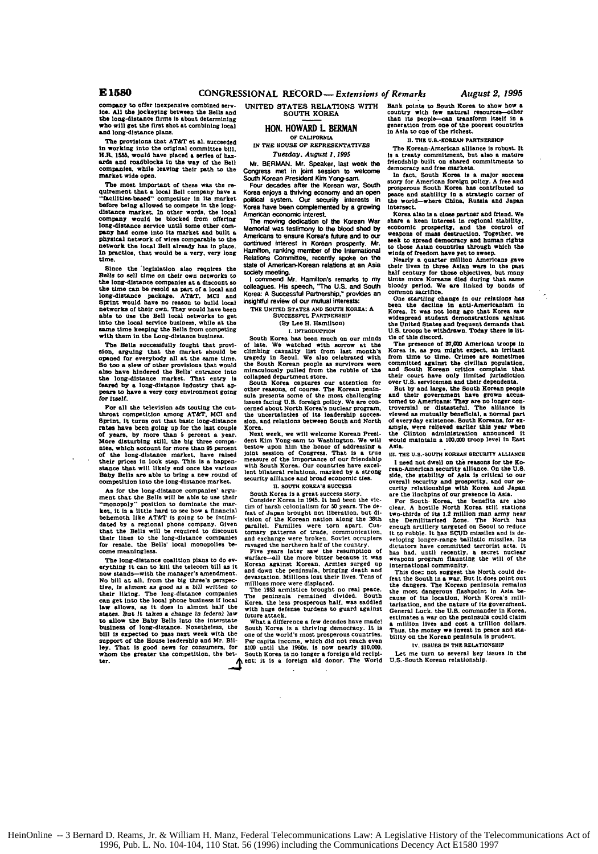compeny to offer Inexpensive combined **Serv-**ice. **All** the jockeying between the **Bells and** the long-distance firms is about determini will get the first shot at combining local **and** long-distance plans.

The provisions that AT&T **et al.** succeeded in working into the original committee bill.<br>**H.R.** 1555, would have placed **a** series of haz**ards and** roadblocks **In** the way of the **Bell** companies, while leaving their path to the market wide open.

The most important **of these** was the **re-**quirement that a **local** Bell company have a **"faclites-besed"** competitor in its market before being allowed to compete in the longdistance market. In other words, the local company would **be** blocked from offering long-distance service **until** some other **com**pany **had** come into its market **and** built **a** physical network of wires comparable to the network the local Bell **already** has in place. **In** practice, that would be a very, very long time.

Since the legislation also requires the Bells to sell time on their own networks **to** the long-distance companies at a discount so the **time can be resold as** part **of** a local **and** long-distance package. AT&T. **MCI and** Sprint would have no reason to build local networks of their own. They would have been **able** to use the Bell local networks to **get** into the local service business, while at the sane time **keeping** the Bells from competing **with** them in the Long-distance **business.**

The Bells successfully fought that provision. arguing that the market should be opened for everybody all at the same time.<br>So too a slew of other provisions that would also have hindered the Bells' entrance into the long-distance market. That entry **is** feared **by** a long-distance Industry that **appease** to have a very cozy environment **going** for *Itself*.

For **all** the television ads touting the cutthroat competition among AT&T. **MCI and** Sprint, It turns out that basic long-distance rates have been going up for the last couple of years, **by** more than **5** percent a year. **More** disturbing still, the **big** three compa-nies, which account for more than **95** percent of the long-distance market, have raised<br>their prices in lock step. This is a happen-<br>stance that will likely end once the various<br>Baby Bells are able to bring a new round of<br>Competition into the long-distance market.

**As** for the long-distance companies' argument that the Bells will be able to use their 'monopoly- position **to** dominate the mar-ket, **it In** a little **hard** to **see** how **a** financial behemoth like AT&T is going to be intimi-<br>that the Bellonal phone company. Given<br>that the Bells will be required to discount<br>their lines to the long-distance companies<br>for resale, the Bells' local monopolies become meaningless.

The long-distance coalition plans to do everything it can to **kill** the telecom bill **as** it now stands-with the manager's amendment. No **bill** at all. from the **big** three's perspec-**tire. Is** almost as **good as** a **bill** *written* to their liking. The long-distance companies can get into the local phone business if local<br>law sllows, as it does in almost half the<br>states. But it takes a change in federal law<br>to allow the Baby Bells linto the interstate<br>business of long-distance. Nonetheless, the bill **is expected** to pass next week with the support of the **House** leadership and Mr. **Bli**ley. That is good news for consumers, for whom the greater the competition, the better.

UNITED STATES RELATIONS WITH Bank points to South Korea to show h SOUTH KOREA

### **HON.** HOWARD L BERMA OF **CALIFORNIA**

**IN** THE **HOUSE** OF REPRESENTATIVES *Tuesday.* August *1. 1995*

Mr. BERMAN. Mr. Speaker, **last** week **the**

Congress met in joint session to welcome<br>South Korean President Kim Yong-sam.<br>Four decades after the Korean war, South Korea enjoys a thriving economy and **an open** political **systern.** Our **security** irderests in Korea **have** been complementod **by** a growing American economic interest

The moving dedication **of** the Korean War Memorial **was** testimony **to the** blood shed **by** Americans **to** ensure Korea's **future** and to our continued interest in Korean prosperity. Mr. <sup>866</sup> to the<br>Hamilton, ranking member of the International wind<br>Relations Committee, recently spoke on the **stale of** American-Korean relations at an **Asia** society meeting. **<sup>I</sup>**commend Mr. **Hamilton's** remarks to **my**

**colleagumes.** His speech. "The **U.S.** and South Korea: **A** Successful **Partnership,** provides an insightful review **of our mutual interests:**

**THE UNITED STATES AND SOUTH** KOREA: **A SUCCESSFUL PARTNESHIP**

**(By** Lee H. Hamilton)

# **1. INTRODUCTION**

South Korea has been much on our minds<br>of late. We watched with sorrow at the<br>climbing casaalty list from last month's<br>climbing casaalty list from last month's<br>tragedy in Seoul. We also celebrated with<br>the South Korean peo

South Korea captures our attention for other reasons, of course. The Korean penin-<br>sula presents some of the most challenging<br>issues facing U.S. foreign policy. We are con-<br>sulse facing U.S. foreign policy. We are con-<br>cer the uncertainties of its leadership successive **sion.** and relations between South and North Korea. Next week. we will welcome **Korean** Presi-

dent Kim Yong-sam to Washington. We will<br>bestow upon him the honor of addressing a<br>joint sesion of Congress. That is a true<br>joint sesion of Congress. That is a true<br>with South Korea. Our countries have excellent bilateral relations, smarked **by** a strong security alliance and **broad** economic ties.

### **n. soUTH KOREA'S SUCCsS**

South Korea **Is** a great success story. Consider Korea in 1945. It had been the victim of harsh colonialism for **50** years. The **de-**feat of Japan brought not liberation, **but di-**vision of the Korean nation **along** the 38th parallel. Families were torn apart. Cus-tomary patterns of trade. communication. and exchange were broken. Soviet Ocruplers ravaged the northern half of the country.

Five years later saw the resumption of Nive years later saw the results in Wardre-all the more bluer Recause it was<br>Korean against Korean. Armies surged up<br>and down the peninsula, brigging death and down the peninsular dir

defense burdens to guard against future attack. What a difference **a** few decades have made!

South Korea is a thriving democracy. It is<br>South Korea is a thriving democracy. It is<br>Per capita income, which did not reach even<br>site of the world's movement of the site of the site<br>south Korea is no longer a foreign aid

**Bank points to South Korea to show how a** country with few natural resources-other than its people-can transform itself in a generation from **one of** the poorest countries in **Asia** to one of the richest.

**11. TH U.5.-KOREAN** PARTNERSHIP

The Korean-American alliance **is** robust. It Is a treaty commitment, but also a mature<br>friendship built on shared commitments to<br>democracy and free markets.<br>In fact. South Korea is a mator success

meace and stability in a strategic corner of the world-where the prosperous South Rores has contributed to pack the world-where China, Russia and Japan intersect.

**Korea** also is **a** close partner and friend. We **share** a keen Interest **in** regional stability, economic prosperity, and the control of weapons of mass destruction. Together, we see to spread democracy and human rights to those Asian countries through which the winds of freedom have yet to sweep. Nearly a quarter mil

times more Koreans died during that same<br>bloody period. We are linked by bonds of<br>common sacrifice.<br>Constanting change in our relations has<br>been the decline in anti-Americanism in<br>Korea. It was not long ago that Korea saw

commons against the decline in anti-Americanism in been the decline in anti-Americanism in Korea. It was not long ago that Korea saw with withdrawn. Today there is lit-<br>U.S. troops be withdrawn. Today there is lit-<br>bis **of** 

**tie** of this discord. The presence **of 37.0W** American **troops in** Korea **is.** as you might expect, **an** irritant

from time to time. Crimes are sometimes<br>committed against the civilian population,<br>and South Korean critics complain that<br>their court have only limited jurisdiction<br>over U.S. servicemen and their dependents.<br>But by and lar **of every difference and the Clinton Clinton Clinton Clinton Clinton Clinton** Clinton Clinton Clinton Clinton and the Clinton and the Viewed as mutually beneficial, a normal part-<br>viewed as mutually beneficial, a normal pa **Asia.**

l. **THE U.S.-SOUT** KOREAN SECURITY **ALLIANCE <sup>I</sup>**need not dwell on the reasons **for** the **Ko-** rean-American security alliance. On the **U.S.** side, the stability of Asia Is critical to our **overall** security **and** prosperity, and our **se- curty** relationships with **Korea** and Japan are the linchpins **of** our presence In **Asia.**

curity relationships with Korea and Japan<br>are the linchpins of our presence in Asia.<br>For South Rorea, the benefits are also<br>clear. A bostle North Rorea still stations<br>two-thirds of its 1.2 million man army near<br>the Demilit

international community.<br>This does not suggest the North could de-<br>feat the South In a war. But it loose point out<br>the dangers. The Korean peninsula remains<br>the most dangerous flashbolnt in Asia be-<br>cause of its location,

**iv. ISSUES IN THE RELATIONSHIP**

Let me turn to several key issues In the U.S.-South Korean relationship.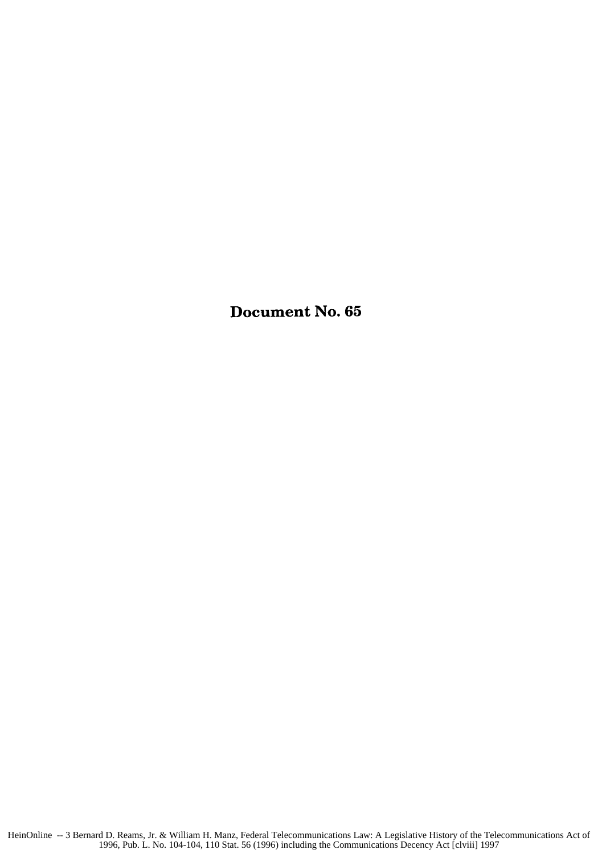Document No. **65**